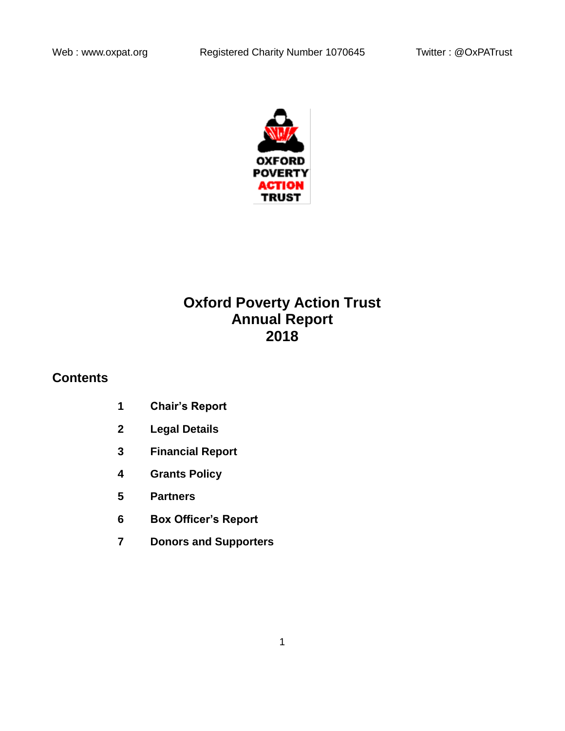

# **Oxford Poverty Action Trust Annual Report 2018**

# **Contents**

- **1 Chair's Report**
- **2 Legal Details**
- **3 Financial Report**
- **4 Grants Policy**
- **5 Partners**
- **6 Box Officer's Report**
- **7 Donors and Supporters**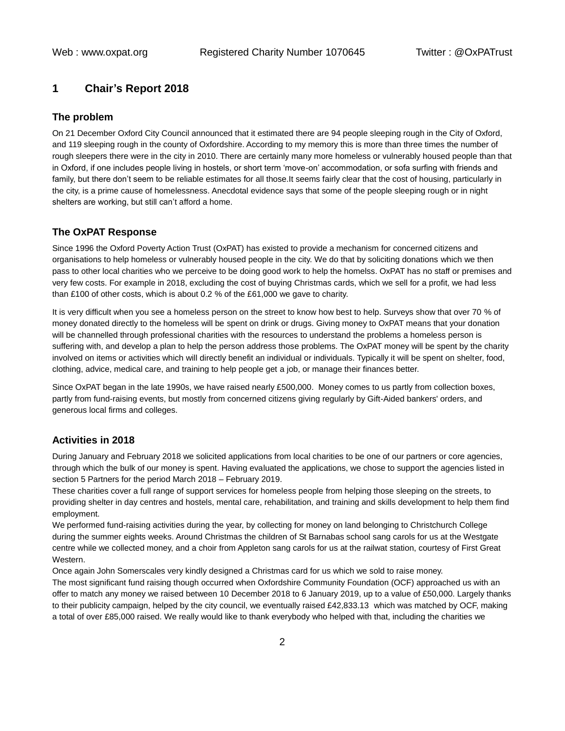# **1 Chair's Report 2018**

#### **The problem**

On 21 December Oxford City Council announced that it estimated there are 94 people sleeping rough in the City of Oxford, and 119 sleeping rough in the county of Oxfordshire. According to my memory this is more than three times the number of rough sleepers there were in the city in 2010. There are certainly many more homeless or vulnerably housed people than that in Oxford, if one includes people living in hostels, or short term 'move-on' accommodation, or sofa surfing with friends and family, but there don't seem to be reliable estimates for all those.It seems fairly clear that the cost of housing, particularly in the city, is a prime cause of homelessness. Anecdotal evidence says that some of the people sleeping rough or in night shelters are working, but still can't afford a home.

## **The OxPAT Response**

Since 1996 the Oxford Poverty Action Trust (OxPAT) has existed to provide a mechanism for concerned citizens and organisations to help homeless or vulnerably housed people in the city. We do that by soliciting donations which we then pass to other local charities who we perceive to be doing good work to help the homelss. OxPAT has no staff or premises and very few costs. For example in 2018, excluding the cost of buying Christmas cards, which we sell for a profit, we had less than £100 of other costs, which is about 0.2 % of the £61,000 we gave to charity.

It is very difficult when you see a homeless person on the street to know how best to help. Surveys show that over 70 % of money donated directly to the homeless will be spent on drink or drugs. Giving money to OxPAT means that your donation will be channelled through professional charities with the resources to understand the problems a homeless person is suffering with, and develop a plan to help the person address those problems. The OxPAT money will be spent by the charity involved on items or activities which will directly benefit an individual or individuals. Typically it will be spent on shelter, food, clothing, advice, medical care, and training to help people get a job, or manage their finances better.

Since OxPAT began in the late 1990s, we have raised nearly £500,000. Money comes to us partly from collection boxes, partly from fund-raising events, but mostly from concerned citizens giving regularly by Gift-Aided bankers' orders, and generous local firms and colleges.

#### **Activities in 2018**

During January and February 2018 we solicited applications from local charities to be one of our partners or core agencies, through which the bulk of our money is spent. Having evaluated the applications, we chose to support the agencies listed in section 5 Partners for the period March 2018 – February 2019.

These charities cover a full range of support services for homeless people from helping those sleeping on the streets, to providing shelter in day centres and hostels, mental care, rehabilitation, and training and skills development to help them find employment.

We performed fund-raising activities during the year, by collecting for money on land belonging to Christchurch College during the summer eights weeks. Around Christmas the children of St Barnabas school sang carols for us at the Westgate centre while we collected money, and a choir from Appleton sang carols for us at the railwat station, courtesy of First Great Western.

Once again John Somerscales very kindly designed a Christmas card for us which we sold to raise money.

The most significant fund raising though occurred when Oxfordshire Community Foundation (OCF) approached us with an offer to match any money we raised between 10 December 2018 to 6 January 2019, up to a value of £50,000. Largely thanks to their publicity campaign, helped by the city council, we eventually raised £42,833.13 which was matched by OCF, making a total of over £85,000 raised. We really would like to thank everybody who helped with that, including the charities we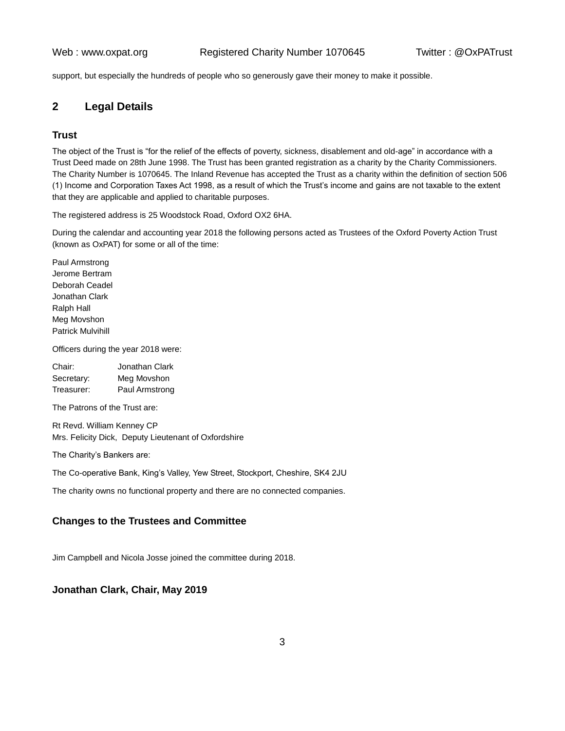support, but especially the hundreds of people who so generously gave their money to make it possible.

# **2 Legal Details**

## **Trust**

The object of the Trust is "for the relief of the effects of poverty, sickness, disablement and old-age" in accordance with a Trust Deed made on 28th June 1998. The Trust has been granted registration as a charity by the Charity Commissioners. The Charity Number is 1070645. The Inland Revenue has accepted the Trust as a charity within the definition of section 506 (1) Income and Corporation Taxes Act 1998, as a result of which the Trust's income and gains are not taxable to the extent that they are applicable and applied to charitable purposes.

The registered address is 25 Woodstock Road, Oxford OX2 6HA.

During the calendar and accounting year 2018 the following persons acted as Trustees of the Oxford Poverty Action Trust (known as OxPAT) for some or all of the time:

Paul Armstrong Jerome Bertram Deborah Ceadel Jonathan Clark Ralph Hall Meg Movshon Patrick Mulvihill

Officers during the year 2018 were:

| Chair:     | Jonathan Clark |
|------------|----------------|
| Secretary: | Meg Movshon    |
| Treasurer: | Paul Armstrong |

The Patrons of the Trust are:

Rt Revd. William Kenney CP Mrs. Felicity Dick, Deputy Lieutenant of Oxfordshire

The Charity's Bankers are:

The Co-operative Bank, King's Valley, Yew Street, Stockport, Cheshire, SK4 2JU

The charity owns no functional property and there are no connected companies.

## **Changes to the Trustees and Committee**

Jim Campbell and Nicola Josse joined the committee during 2018.

# **Jonathan Clark, Chair, May 2019**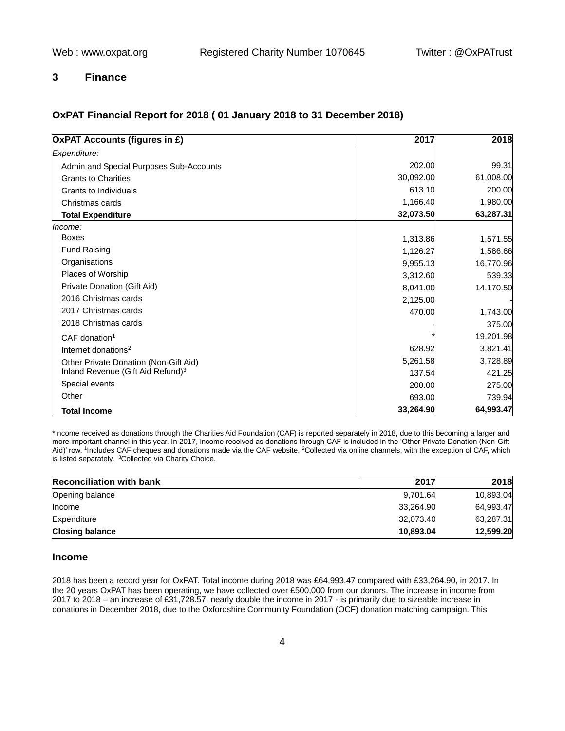# **3 Finance**

# **OxPAT Financial Report for 2018 ( 01 January 2018 to 31 December 2018)**

| <b>OxPAT Accounts (figures in £)</b>          | 2017      | 2018      |
|-----------------------------------------------|-----------|-----------|
| Expenditure:                                  |           |           |
| Admin and Special Purposes Sub-Accounts       | 202.00    | 99.31     |
| <b>Grants to Charities</b>                    | 30,092.00 | 61,008.00 |
| Grants to Individuals                         | 613.10    | 200.00    |
| Christmas cards                               | 1,166.40  | 1,980.00  |
| <b>Total Expenditure</b>                      | 32,073.50 | 63,287.31 |
| Income:                                       |           |           |
| <b>Boxes</b>                                  | 1,313.86  | 1,571.55  |
| <b>Fund Raising</b>                           | 1,126.27  | 1,586.66  |
| Organisations                                 | 9,955.13  | 16,770.96 |
| Places of Worship                             | 3,312.60  | 539.33    |
| Private Donation (Gift Aid)                   | 8,041.00  | 14,170.50 |
| 2016 Christmas cards                          | 2,125.00  |           |
| 2017 Christmas cards                          | 470.00    | 1,743.00  |
| 2018 Christmas cards                          |           | 375.00    |
| $CAF$ donation <sup>1</sup>                   |           | 19,201.98 |
| Internet donations <sup>2</sup>               | 628.92    | 3,821.41  |
| Other Private Donation (Non-Gift Aid)         | 5,261.58  | 3,728.89  |
| Inland Revenue (Gift Aid Refund) <sup>3</sup> | 137.54    | 421.25    |
| Special events                                | 200.00    | 275.00    |
| Other                                         | 693.00    | 739.94    |
| <b>Total Income</b>                           | 33,264.90 | 64,993.47 |

\*Income received as donations through the Charities Aid Foundation (CAF) is reported separately in 2018, due to this becoming a larger and more important channel in this year. In 2017, income received as donations through CAF is included in the 'Other Private Donation (Non-Gift Aid)' row. <sup>1</sup>Includes CAF cheques and donations made via the CAF website. <sup>2</sup>Collected via online channels, with the exception of CAF, which is listed separately. <sup>3</sup>Collected via Charity Choice.

| <b>Reconciliation with bank</b> | 2017      | 2018      |
|---------------------------------|-----------|-----------|
| Opening balance                 | 9,701.64  | 10,893.04 |
| <b>Income</b>                   | 33,264.90 | 64,993.47 |
| Expenditure                     | 32.073.40 | 63,287.31 |
| <b>Closing balance</b>          | 10,893.04 | 12,599.20 |

## **Income**

2018 has been a record year for OxPAT. Total income during 2018 was £64,993.47 compared with £33,264.90, in 2017. In the 20 years OxPAT has been operating, we have collected over £500,000 from our donors. The increase in income from 2017 to 2018 – an increase of £31,728.57, nearly double the income in 2017 - is primarily due to sizeable increase in donations in December 2018, due to the Oxfordshire Community Foundation (OCF) donation matching campaign. This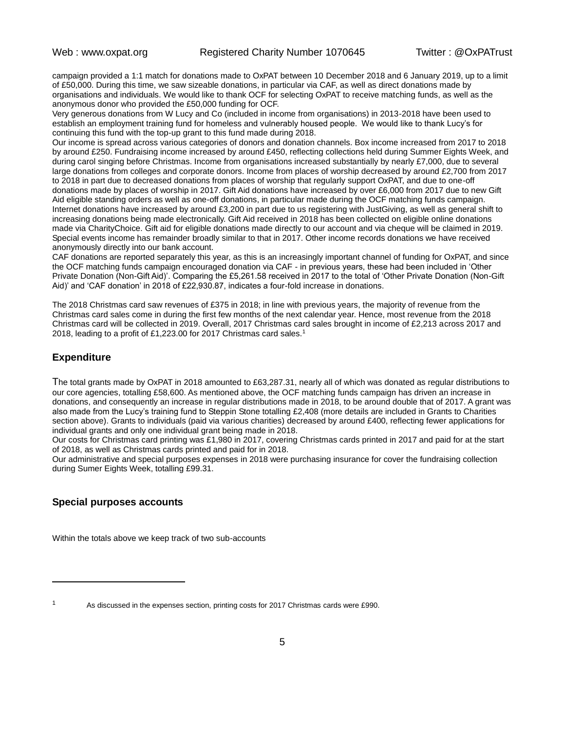campaign provided a 1:1 match for donations made to OxPAT between 10 December 2018 and 6 January 2019, up to a limit of £50,000. During this time, we saw sizeable donations, in particular via CAF, as well as direct donations made by organisations and individuals. We would like to thank OCF for selecting OxPAT to receive matching funds, as well as the anonymous donor who provided the £50,000 funding for OCF.

Very generous donations from W Lucy and Co (included in income from organisations) in 2013-2018 have been used to establish an employment training fund for homeless and vulnerably housed people. We would like to thank Lucy's for continuing this fund with the top-up grant to this fund made during 2018.

Our income is spread across various categories of donors and donation channels. Box income increased from 2017 to 2018 by around £250. Fundraising income increased by around £450, reflecting collections held during Summer Eights Week, and during carol singing before Christmas. Income from organisations increased substantially by nearly £7,000, due to several large donations from colleges and corporate donors. Income from places of worship decreased by around £2,700 from 2017 to 2018 in part due to decreased donations from places of worship that regularly support OxPAT, and due to one-off donations made by places of worship in 2017. Gift Aid donations have increased by over £6,000 from 2017 due to new Gift Aid eligible standing orders as well as one-off donations, in particular made during the OCF matching funds campaign. Internet donations have increased by around £3,200 in part due to us registering with JustGiving, as well as general shift to increasing donations being made electronically. Gift Aid received in 2018 has been collected on eligible online donations made via CharityChoice. Gift aid for eligible donations made directly to our account and via cheque will be claimed in 2019. Special events income has remainder broadly similar to that in 2017. Other income records donations we have received anonymously directly into our bank account.

CAF donations are reported separately this year, as this is an increasingly important channel of funding for OxPAT, and since the OCF matching funds campaign encouraged donation via CAF - in previous years, these had been included in 'Other Private Donation (Non-Gift Aid)'. Comparing the £5,261.58 received in 2017 to the total of 'Other Private Donation (Non-Gift Aid)' and 'CAF donation' in 2018 of £22,930.87, indicates a four-fold increase in donations.

The 2018 Christmas card saw revenues of £375 in 2018; in line with previous years, the majority of revenue from the Christmas card sales come in during the first few months of the next calendar year. Hence, most revenue from the 2018 Christmas card will be collected in 2019. Overall, 2017 Christmas card sales brought in income of £2,213 across 2017 and 2018, leading to a profit of £1,223.00 for 2017 Christmas card sales.<sup>1</sup>

## **Expenditure**

The total grants made by OxPAT in 2018 amounted to £63,287.31, nearly all of which was donated as regular distributions to our core agencies, totalling £58,600. As mentioned above, the OCF matching funds campaign has driven an increase in donations, and consequently an increase in regular distributions made in 2018, to be around double that of 2017. A grant was also made from the Lucy's training fund to Steppin Stone totalling £2,408 (more details are included in Grants to Charities section above). Grants to individuals (paid via various charities) decreased by around £400, reflecting fewer applications for individual grants and only one individual grant being made in 2018.

Our costs for Christmas card printing was £1,980 in 2017, covering Christmas cards printed in 2017 and paid for at the start of 2018, as well as Christmas cards printed and paid for in 2018.

Our administrative and special purposes expenses in 2018 were purchasing insurance for cover the fundraising collection during Sumer Eights Week, totalling £99.31.

## **Special purposes accounts**

Within the totals above we keep track of two sub-accounts

<sup>&</sup>lt;sup>1</sup> As discussed in the expenses section, printing costs for 2017 Christmas cards were £990.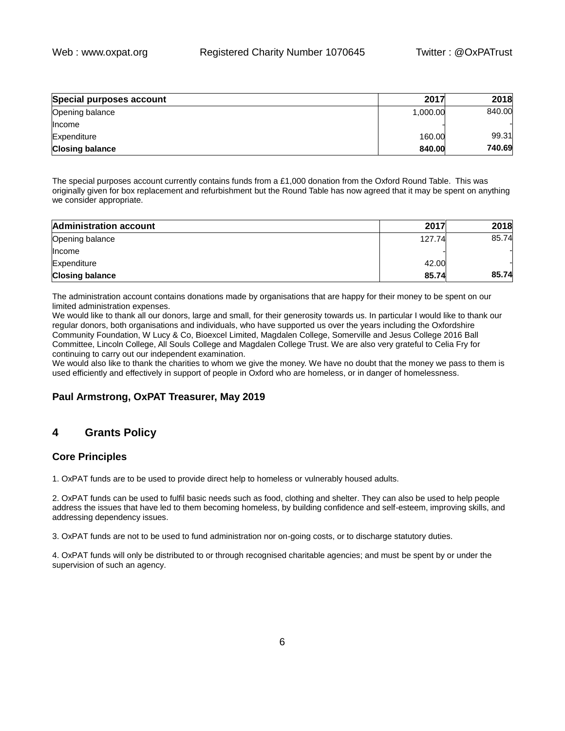| Special purposes account | 2017     | 2018   |
|--------------------------|----------|--------|
| Opening balance          | 1,000.00 | 840.00 |
| <b>Income</b>            |          |        |
| Expenditure              | 160.00   | 99.31  |
| <b>Closing balance</b>   | 840.00   | 740.69 |

The special purposes account currently contains funds from a £1,000 donation from the Oxford Round Table. This was originally given for box replacement and refurbishment but the Round Table has now agreed that it may be spent on anything we consider appropriate.

| <b>Administration account</b> | 2017   | 2018  |
|-------------------------------|--------|-------|
| Opening balance               | 127.74 | 85.74 |
| <b>Income</b>                 |        |       |
| Expenditure                   | 42.00  |       |
| <b>Closing balance</b>        | 85.74  | 85.74 |

The administration account contains donations made by organisations that are happy for their money to be spent on our limited administration expenses.

We would like to thank all our donors, large and small, for their generosity towards us. In particular I would like to thank our regular donors, both organisations and individuals, who have supported us over the years including the Oxfordshire Community Foundation, W Lucy & Co, Bioexcel Limited, Magdalen College, Somerville and Jesus College 2016 Ball Committee, Lincoln College, All Souls College and Magdalen College Trust. We are also very grateful to Celia Fry for continuing to carry out our independent examination.

We would also like to thank the charities to whom we give the money. We have no doubt that the money we pass to them is used efficiently and effectively in support of people in Oxford who are homeless, or in danger of homelessness.

# **Paul Armstrong, OxPAT Treasurer, May 2019**

# **4 Grants Policy**

# **Core Principles**

1. OxPAT funds are to be used to provide direct help to homeless or vulnerably housed adults.

2. OxPAT funds can be used to fulfil basic needs such as food, clothing and shelter. They can also be used to help people address the issues that have led to them becoming homeless, by building confidence and self-esteem, improving skills, and addressing dependency issues.

3. OxPAT funds are not to be used to fund administration nor on-going costs, or to discharge statutory duties.

4. OxPAT funds will only be distributed to or through recognised charitable agencies; and must be spent by or under the supervision of such an agency.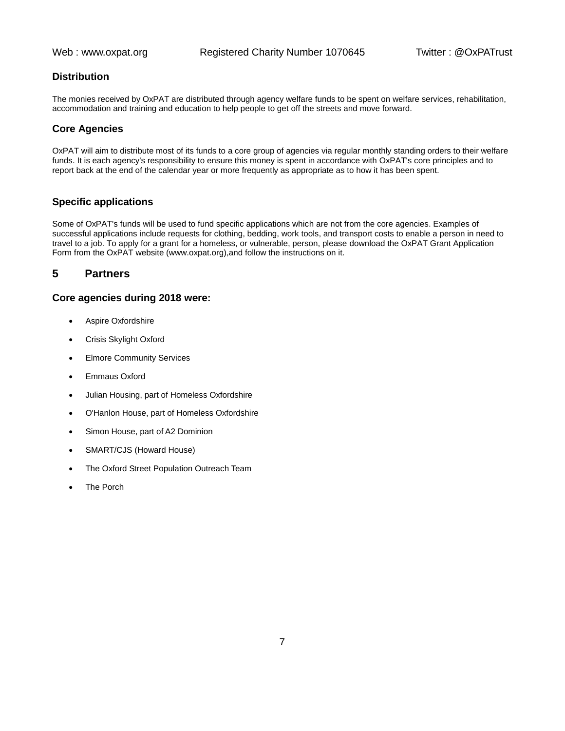# **Distribution**

The monies received by OxPAT are distributed through agency welfare funds to be spent on welfare services, rehabilitation, accommodation and training and education to help people to get off the streets and move forward.

## **Core Agencies**

OxPAT will aim to distribute most of its funds to a core group of agencies via regular monthly standing orders to their welfare funds. It is each agency's responsibility to ensure this money is spent in accordance with OxPAT's core principles and to report back at the end of the calendar year or more frequently as appropriate as to how it has been spent.

## **Specific applications**

Some of OxPAT's funds will be used to fund specific applications which are not from the core agencies. Examples of successful applications include requests for clothing, bedding, work tools, and transport costs to enable a person in need to travel to a job. To apply for a grant for a homeless, or vulnerable, person, please download the OxPAT Grant Application Form from the OxPAT website (www.oxpat.org),and follow the instructions on it.

# **5 Partners**

## **Core agencies during 2018 were:**

- Aspire Oxfordshire
- Crisis Skylight Oxford
- Elmore Community Services
- Emmaus Oxford
- Julian Housing, part of Homeless Oxfordshire
- O'Hanlon House, part of Homeless Oxfordshire
- Simon House, part of A2 Dominion
- SMART/CJS (Howard House)
- The Oxford Street Population Outreach Team
- The Porch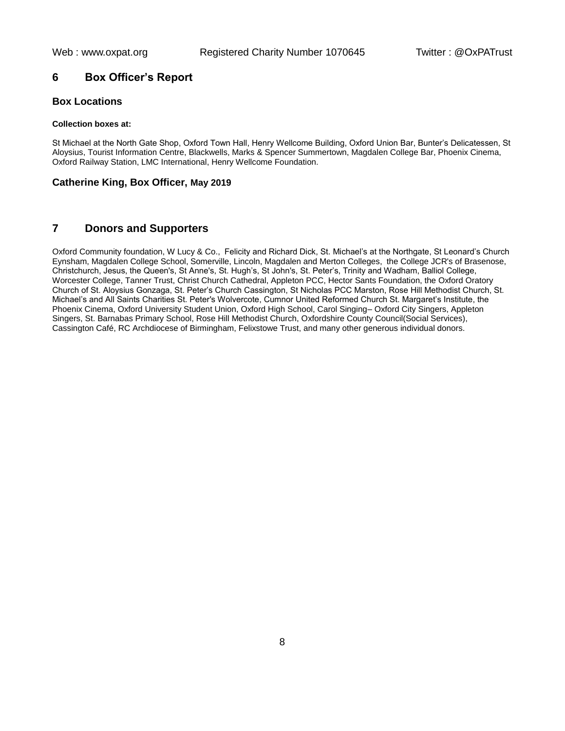# **6 Box Officer's Report**

## **Box Locations**

#### **Collection boxes at:**

St Michael at the North Gate Shop, Oxford Town Hall, Henry Wellcome Building, Oxford Union Bar, Bunter's Delicatessen, St Aloysius, Tourist Information Centre, Blackwells, Marks & Spencer Summertown, Magdalen College Bar, Phoenix Cinema, Oxford Railway Station, LMC International, Henry Wellcome Foundation.

#### **Catherine King, Box Officer, May 2019**

# **7 Donors and Supporters**

Oxford Community foundation, W Lucy & Co., Felicity and Richard Dick, St. Michael's at the Northgate, St Leonard's Church Eynsham, Magdalen College School, Somerville, Lincoln, Magdalen and Merton Colleges, the College JCR's of Brasenose, Christchurch, Jesus, the Queen's, St Anne's, St. Hugh's, St John's, St. Peter's, Trinity and Wadham, Balliol College, Worcester College, Tanner Trust, Christ Church Cathedral, Appleton PCC, Hector Sants Foundation, the Oxford Oratory Church of St. Aloysius Gonzaga, St. Peter's Church Cassington, St Nicholas PCC Marston, Rose Hill Methodist Church, St. Michael's and All Saints Charities St. Peter's Wolvercote, Cumnor United Reformed Church St. Margaret's Institute, the Phoenix Cinema, Oxford University Student Union, Oxford High School, Carol Singing– Oxford City Singers, Appleton Singers, St. Barnabas Primary School, Rose Hill Methodist Church, Oxfordshire County Council(Social Services), Cassington Café, RC Archdiocese of Birmingham, Felixstowe Trust, and many other generous individual donors.